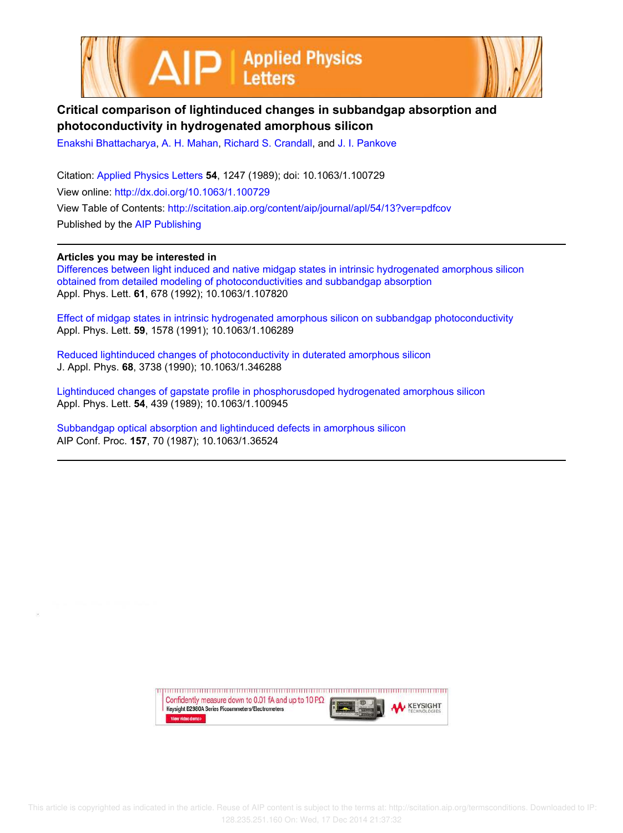



## **Critical comparison of lightinduced changes in subbandgap absorption and photoconductivity in hydrogenated amorphous silicon**

Enakshi Bhattacharya, A. H. Mahan, Richard S. Crandall, and J. I. Pankove

Citation: Applied Physics Letters **54**, 1247 (1989); doi: 10.1063/1.100729 View online: http://dx.doi.org/10.1063/1.100729 View Table of Contents: http://scitation.aip.org/content/aip/journal/apl/54/13?ver=pdfcov Published by the AIP Publishing

## **Articles you may be interested in**

Differences between light induced and native midgap states in intrinsic hydrogenated amorphous silicon obtained from detailed modeling of photoconductivities and subbandgap absorption Appl. Phys. Lett. **61**, 678 (1992); 10.1063/1.107820

Effect of midgap states in intrinsic hydrogenated amorphous silicon on subbandgap photoconductivity Appl. Phys. Lett. **59**, 1578 (1991); 10.1063/1.106289

Reduced lightinduced changes of photoconductivity in duterated amorphous silicon J. Appl. Phys. **68**, 3738 (1990); 10.1063/1.346288

Lightinduced changes of gapstate profile in phosphorusdoped hydrogenated amorphous silicon Appl. Phys. Lett. **54**, 439 (1989); 10.1063/1.100945

Subbandgap optical absorption and lightinduced defects in amorphous silicon AIP Conf. Proc. **157**, 70 (1987); 10.1063/1.36524

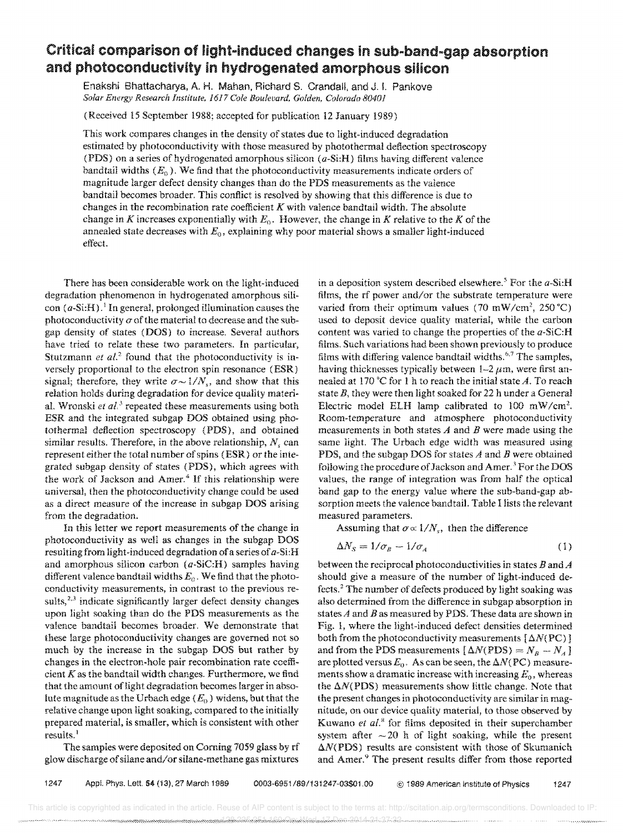## Critical comparison of light-induced changes in sub-band-gap absorption and photoconductivity in hydrogenated amorphous silicon

Enakshi Bhattacharya, A. H. Mahan, Richard S. Crandall, and J. i. Pankove *Solar Energy Research Institute,* 1617 *Cole Boulevard, Golden, Colorado 80401* 

(Received 15 September 1988; accepted for publication 12 January 1989)

This work compares changes in the density of states due to light-induced degradation estimated by photoconductivity with those measured by photothermal deflection spectroscopy (PDS) on a series of hydrogenated amorphous silicon *(a-Si:H)* films having different valence bandtail widths  $(E_0)$ . We find that the photoconductivity measurements indicate orders of magnitude larger defect density changes than do the PDS measurements as the vaience bandtail becomes broader. This conflict is resolved by showing that this difference is due to changes in the recombination rate coefficient *K* with valence bandtail width. The absolute change in *K* increases exponentially with  $E_0$ . However, the change in *K* relative to the *K* of the annealed state decreases with *Eo,* explaining why poor material shows a smaller light-induced effect.

There has been considerable work on the light-induced degradation phenomenon in hydrogenated amorphous silicon  $(a-Si:H)$ .<sup>1</sup> In general, prolonged illumination causes the photoconductivity  $\sigma$  of the material to decrease and the subgap density of states (DOS) to increase. Several authors have tried to relate these two parameters. In particular, Stutzmann *et al.*<sup>2</sup> found that the photoconductivity is inversely proportional to the electron spin resonance (ESR) signal; therefore, they write  $\sigma \sim 1/N_s$ , and show that this relation holds during degradation for device quality material. Wronski *et al.*<sup>3</sup> repeated these measurements using both ESR and the integrated subgap DOS obtained using photothermal deflection spectroscopy (PDS), and obtained similar results. Therefore, in the above relationship,  $N_s$  can represent either the total number of spins (ESR) or the integrated subgap density of states (PDS), which agrees with the work of Jackson and Amer.<sup>4</sup> If this relationship were universal, then the photoconductivity change could be used as a direct measure of the increase in subgap DOS arising from the degradation.

In this letter we report measurements of the change in photoconductivity as well as changes in the subgap DOS resulting from light-induced degradation of a series of *a-Si:H*  and amorphous silicon carbon  $(a-SiC:H)$  samples having different valence bandtail widths *Eo.* We find that the photoconductivity measurements, in contrast to the previous results, $2,3$  indicate significantly larger defect density changes upon light soaking than do the PDS measurements as the valence bandtail becomes broader. We demonstrate that these large photoconductivity changes are governed not so much by the increase in the subgap DOS but rather by changes in the electron-hole pair recombination rate coefficient  $K$  as the bandtail width changes. Furthermore, we find that the amount of light degradation becomes larger in absolute magnitude as the Urbach edge ( $E_0$ ) widens, but that the relative change upon light soaking, compared to the initially prepared material, is smaller, which is consistent with other results.<sup>1</sup>

The samples were deposited on Coming 7059 glass by rf glow discharge of silane and/or silane-methane gas mixtures

in a deposition system described elsewhere.<sup>5</sup> For the  $a$ -Si:H films, the rf power and/or the substrate temperature were varied from their optimum values (70 mW/cm<sup>2</sup>, 250 °C) used to deposit device quality material, while the carbon content was varied to change the properties of the a-SiC:H films. Such variations had been shown previously to produce films with differing valence bandtail widths.<sup>6,7</sup> The samples, having thicknesses typically between  $1-2 \mu m$ , were first annealed at 170 °C for 1 h to reach the initial state *A*. To reach state *B,* they were then light soaked for 22 h under a General Electric model ELH lamp calibrated to 100 mW/cm<sup>2</sup>. Room-temperature and atmosphere photoconductivity measurements in both states *A* and *B* were made using the same light. The Urbach edge width was measured using PDS. and the subgap DOS for states *A* and *B* were obtained following the procedure of Jackson and Amer.<sup>3</sup> For the DOS values, the range of integration was from half the optical band gap to the energy value where the sub-band-gap absorption meets the valence bandtail. Table I lists the relevant measured parameters.

Assuming that  $\sigma \propto 1/N_s$ , then the difference

$$
\Delta N_S = 1/\sigma_B - 1/\sigma_A \tag{1}
$$

between the reciprocal photoconductivities in states *B* and *A*  should give a measure of the number of light-induced defects. <sup>2</sup>The number of defects produced by light soaking was also determined from the difference in subgap absorption in states *A* and *B* as measured by PDS. These data are shown in Fig. 1, where the light-induced defect densities determined both from the photoconductivity measurements  $\left[\Delta N (\text{PC})\right]$ and from the PDS measurements  $[\Delta N(PDS) = N_B - N_A]$ are plotted versus  $E_0$ . As can be seen, the  $\Delta N (PC)$  measurements show a dramatic increase with increasing  $E_0$ , whereas the  $\Delta N(PDS)$  measurements show little change. Note that the present changes in photoconductivity are similar in magnitude, on our device quality material, to those observed by Kuwano et al.<sup>8</sup> for films deposited in their superchamber system after  $\sim$  20 h of light soaking, while the present  $\Delta N(PDS)$  results are consistent with those of Skumanich and Amer.<sup>9</sup> The present results differ from those reported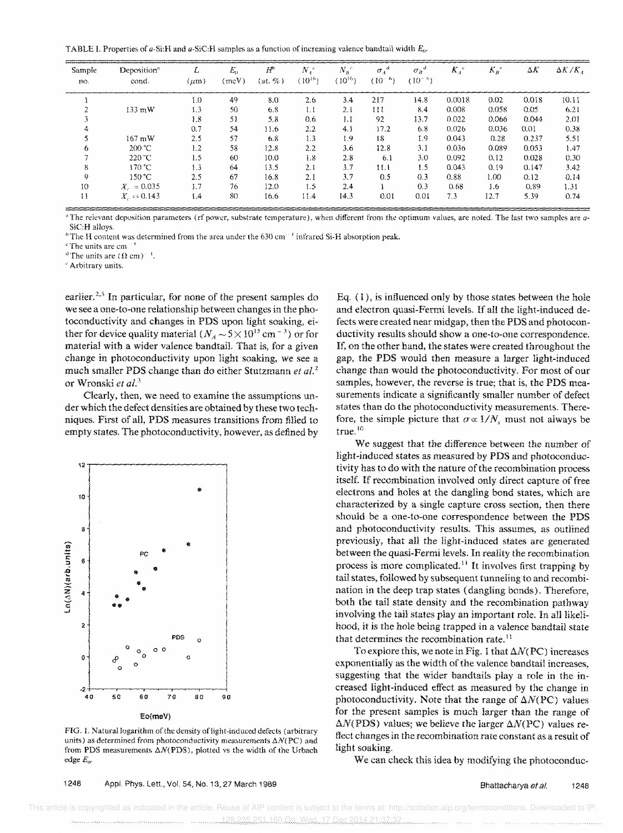TABLE I. Properties of a-Si:H and a-SiC:H samples as a function of increasing valence bandtail width  $E_0$ .

| Sample<br>no. | Deposition <sup>a</sup><br>cond. | ∼<br>$(\mu m)$ | $E_0$<br>(meV) | $H^{\circ}$<br>$(at, \%)$ | Ν.<br>$(10^{16})$ | $N_B$ <sup>c</sup><br>$(10^{16})$ | $\sigma_A^{\mu}$<br>$(10^{-1})$<br>$\omega$ | $\sigma_{\scriptscriptstyle B}$<br>$(10^{-6})$ | $K_4$ <sup>e</sup> | $K_B$ | ΔΚ    | $\Delta K/K$ |
|---------------|----------------------------------|----------------|----------------|---------------------------|-------------------|-----------------------------------|---------------------------------------------|------------------------------------------------|--------------------|-------|-------|--------------|
|               |                                  | 1.0            | 49             | 8.0                       | 2.6               | 3.4                               | 217                                         | 14.8                                           | 0.0018             | 0.02  | 0.018 | 10.11        |
|               | $133 \text{ mW}$                 | 1.3            | 50             | 6.8                       | 1.1               | 2.1                               | 111                                         | 8.4                                            | 0.008              | 0.058 | 0.05  | 6.21         |
|               |                                  | 1.8            | 51             | 5.8                       | 0.6               | 1.1                               | 92                                          | 13.7                                           | 0.022              | 0.066 | 0.044 | 2.01         |
|               |                                  | 0.7            | 54             | 11.6                      | 2.2               | 4.1                               | 17.2                                        | 6.8                                            | 0.026              | 0.036 | 0.01  | 0.38         |
|               | $167 \text{ mW}$                 | 2.5            | 57             | 6, 8                      | 1.3               | 1.9                               | 18                                          | 1.9                                            | 0.043              | 0.28  | 0.237 | 5.51         |
|               | 200 °C                           | 1.2            | 58             | 12.8                      | 2.2               | 3.6                               | 12.8                                        | 3.1                                            | 0.036              | 0.089 | 0.053 | 1.47         |
|               | 220 °C                           | 1.5            | 60             | 10.0                      | 1.8               | 2.8                               | 6.1                                         | 3.0                                            | 0.092              | 0.12  | 0.028 | 0.30         |
|               | 170 °C.                          | 1.3            | 64             | 13.5                      | 2.1               | 3.7                               | 11.1                                        | 1.5                                            | 0.043              | 0.19  | 0.147 | 3.42         |
|               | 150 °C.                          | 2.5            | 67             | 16.8                      | 2.1               | 3.7                               | 0.5                                         | 0.3                                            | 0.88               | 1.00. | 0.12  | 0.14         |
| 10            | $X_{c} = 0.035$                  | 1.7            | 76             | 12.0                      | 1.5               | 2.4                               |                                             | 0.3                                            | 0.68               | 1.6   | 0.89  | 1.31         |
| 11            | $X_{c} = 0.143$                  | 1.4            | 80             | 16.6                      | 11.4              | 14.3                              | 0.01                                        | 0.01                                           | 7.3                | 12.7  | 5.39  | 0.74         |

a The relevant deposition parameters (rf power, substrate temperature), when different from the optimum values, are noted. The last two samples are a-SiC:H alloys.

<sup>6</sup>The H content was determined from the area under the 630 cm<sup>-1</sup> infrared Si-H absorption peak.

<sup>e</sup>The units are cm<sup>-1</sup>

<sup>d</sup>The units are  $(\Omega$  cm $)^{-1}$ .

<sup>e</sup> Arbitrary units.

earlier.<sup>2,3</sup> In particular, for none of the present samples do we see a one-to-one relationship between changes in the photoconductivity and changes in PDS upon light soaking, either for device quality material  $(N_A \sim 5 \times 10^{15} \text{ cm}^{-3})$  or for material with a wider valence bandtail. That is, for a given change in photoconductivity upon light soaking, we see a much smaller PDS change than do either Stutzmann et al.<sup>2</sup> or Wronski et al.<sup>3</sup>

Clearly, then, we need to examine the assumptions under which the defect densities are obtained by these two techniques. First of all, PDS measures transitions from filled to empty states. The photoconductivity, however, as defined by



FIG. 1. Natural logarithm of the density of light-induced defects (arbitrary units) as determined from photoconductivity measurements  $\Delta N(\text{PC})$  and from PDS measurements  $\Delta N(PDS)$ , plotted vs the width of the Urbach edge  $E_0$ .

Eq.  $(1)$ , is influenced only by those states between the hole and electron quasi-Fermi levels. If all the light-induced defects were created near midgap, then the PDS and photoconductivity results should show a one-to-one correspondence. If, on the other hand, the states were created throughout the gap, the PDS would then measure a larger light-induced change than would the photoconductivity. For most of our samples, however, the reverse is true; that is, the PDS measurements indicate a significantly smaller number of defect states than do the photoconductivity measurements. Therefore, the simple picture that  $\sigma \propto 1/N_c$  must not always be true.<sup>10</sup>

We suggest that the difference between the number of light-induced states as measured by PDS and photoconductivity has to do with the nature of the recombination process itself. If recombination involved only direct capture of free electrons and holes at the dangling bond states, which are characterized by a single capture cross section, then there should be a one-to-one correspondence between the PDS and photoconductivity results. This assumes, as outlined previously, that all the light-induced states are generated between the quasi-Fermi levels. In reality the recombination process is more complicated.<sup>11</sup> It involves first trapping by tail states, followed by subsequent tunneling to and recombination in the deep trap states (dangling bonds). Therefore, both the tail state density and the recombination pathway involving the tail states play an important role. In all likelihood, it is the hole being trapped in a valence bandtail state that determines the recombination rate.<sup>11</sup>

To explore this, we note in Fig. 1 that  $\Delta N(PC)$  increases exponentially as the width of the valence bandtail increases, suggesting that the wider bandtails play a role in the increased light-induced effect as measured by the change in photoconductivity. Note that the range of  $\Delta N(PC)$  values for the present samples is much larger than the range of  $\Delta N(\text{PDS})$  values; we believe the larger  $\Delta N(\text{PC})$  values reflect changes in the recombination rate constant as a result of light soaking.

We can check this idea by modifying the photoconduc-

1248 Appl. Phys. Lett., Vol. 54, No. 13, 27 March 1989